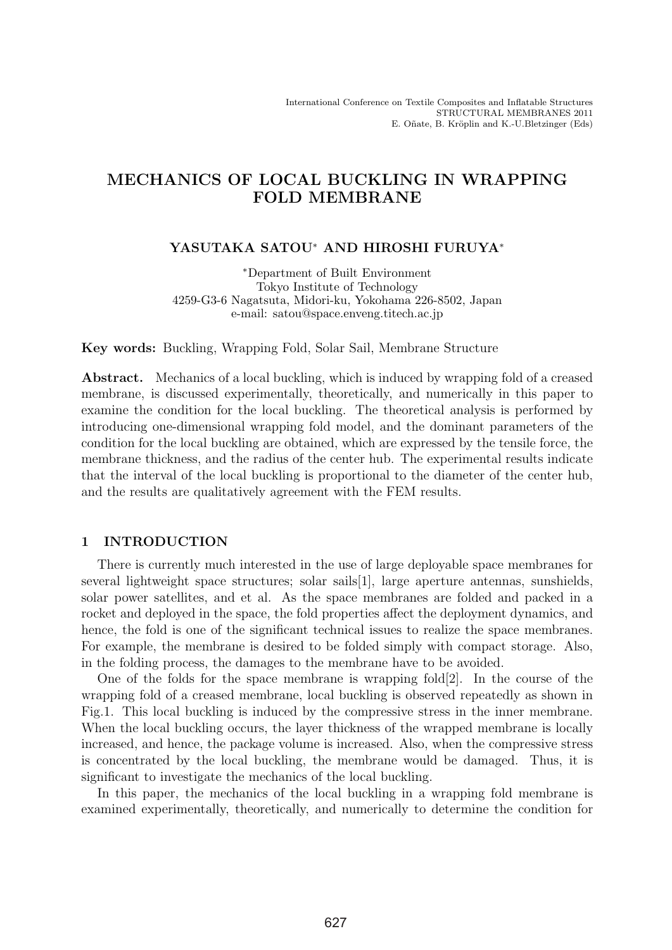# MECHANICS OF LOCAL BUCKLING IN WRAPPING FOLD MEMBRANE

# YASUTAKA SATOU<sup>∗</sup> AND HIROSHI FURUYA<sup>∗</sup>

∗Department of Built Environment Tokyo Institute of Technology 4259-G3-6 Nagatsuta, Midori-ku, Yokohama 226-8502, Japan e-mail: satou@space.enveng.titech.ac.jp

Key words: Buckling, Wrapping Fold, Solar Sail, Membrane Structure

Abstract. Mechanics of a local buckling, which is induced by wrapping fold of a creased membrane, is discussed experimentally, theoretically, and numerically in this paper to examine the condition for the local buckling. The theoretical analysis is performed by introducing one-dimensional wrapping fold model, and the dominant parameters of the condition for the local buckling are obtained, which are expressed by the tensile force, the membrane thickness, and the radius of the center hub. The experimental results indicate that the interval of the local buckling is proportional to the diameter of the center hub, and the results are qualitatively agreement with the FEM results.

# 1 INTRODUCTION

There is currently much interested in the use of large deployable space membranes for several lightweight space structures; solar sails[1], large aperture antennas, sunshields, solar power satellites, and et al. As the space membranes are folded and packed in a rocket and deployed in the space, the fold properties affect the deployment dynamics, and hence, the fold is one of the significant technical issues to realize the space membranes. For example, the membrane is desired to be folded simply with compact storage. Also, in the folding process, the damages to the membrane have to be avoided.

One of the folds for the space membrane is wrapping fold $[2]$ . In the course of the wrapping fold of a creased membrane, local buckling is observed repeatedly as shown in Fig.1. This local buckling is induced by the compressive stress in the inner membrane. When the local buckling occurs, the layer thickness of the wrapped membrane is locally increased, and hence, the package volume is increased. Also, when the compressive stress is concentrated by the local buckling, the membrane would be damaged. Thus, it is significant to investigate the mechanics of the local buckling.

In this paper, the mechanics of the local buckling in a wrapping fold membrane is examined experimentally, theoretically, and numerically to determine the condition for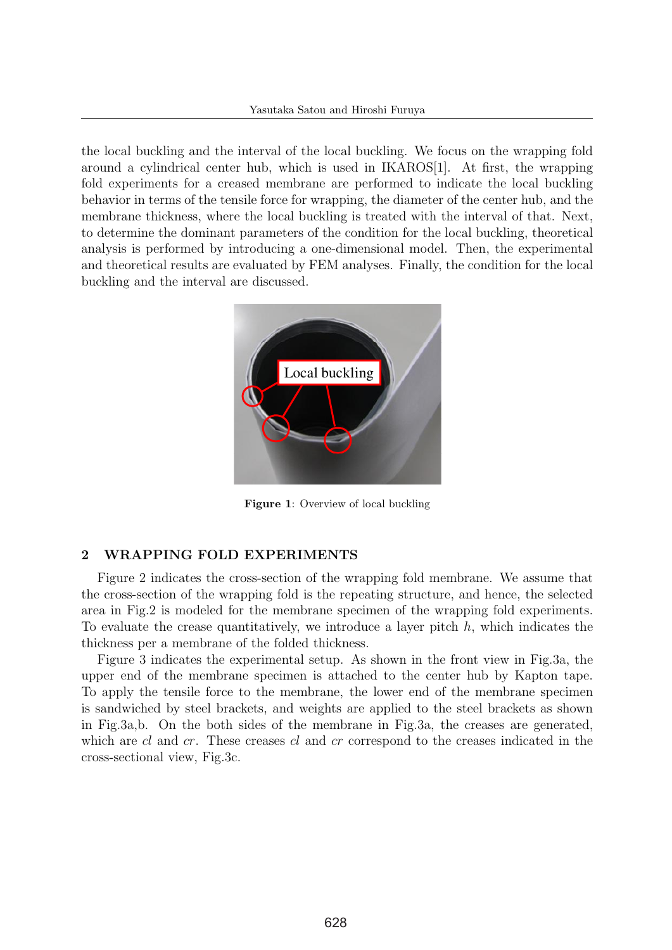the local buckling and the interval of the local buckling. We focus on the wrapping fold around a cylindrical center hub, which is used in IKAROS[1]. At first, the wrapping fold experiments for a creased membrane are performed to indicate the local buckling behavior in terms of the tensile force for wrapping, the diameter of the center hub, and the membrane thickness, where the local buckling is treated with the interval of that. Next, to determine the dominant parameters of the condition for the local buckling, theoretical analysis is performed by introducing a one-dimensional model. Then, the experimental and theoretical results are evaluated by FEM analyses. Finally, the condition for the local buckling and the interval are discussed.



Figure 1: Overview of local buckling

# 2 WRAPPING FOLD EXPERIMENTS

Figure 2 indicates the cross-section of the wrapping fold membrane. We assume that the cross-section of the wrapping fold is the repeating structure, and hence, the selected area in Fig.2 is modeled for the membrane specimen of the wrapping fold experiments. To evaluate the crease quantitatively, we introduce a layer pitch  $h$ , which indicates the thickness per a membrane of the folded thickness.

Figure 3 indicates the experimental setup. As shown in the front view in Fig.3a, the upper end of the membrane specimen is attached to the center hub by Kapton tape. To apply the tensile force to the membrane, the lower end of the membrane specimen is sandwiched by steel brackets, and weights are applied to the steel brackets as shown in Fig.3a,b. On the both sides of the membrane in Fig.3a, the creases are generated, which are cl and cr. These creases cl and cr correspond to the creases indicated in the cross-sectional view, Fig.3c.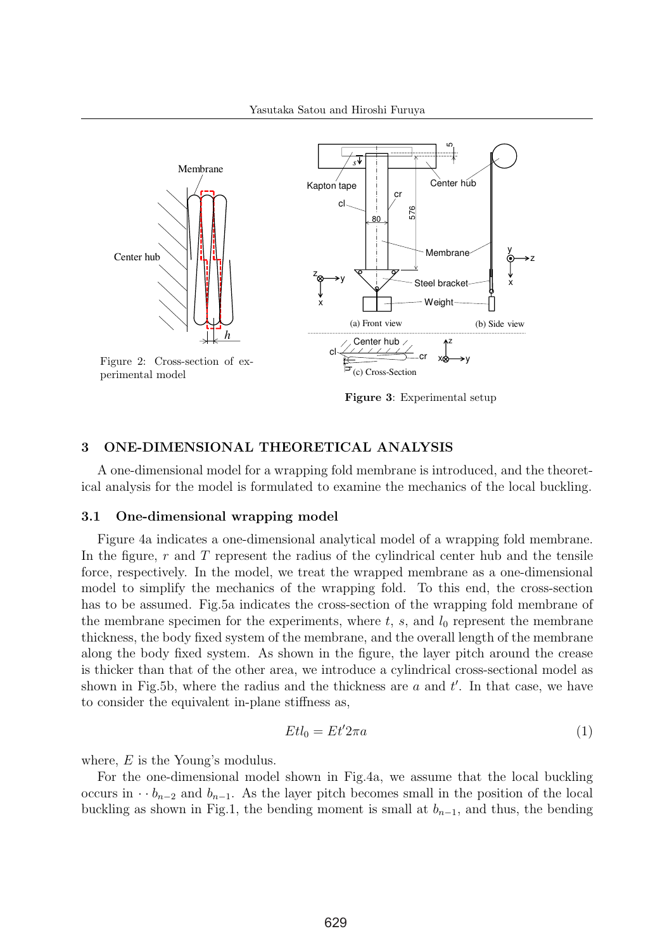

Figure 3: Experimental setup

## 3 ONE-DIMENSIONAL THEORETICAL ANALYSIS

A one-dimensional model for a wrapping fold membrane is introduced, and the theoretical analysis for the model is formulated to examine the mechanics of the local buckling.

#### 3.1 One-dimensional wrapping model

Figure 4a indicates a one-dimensional analytical model of a wrapping fold membrane. In the figure,  $r$  and  $T$  represent the radius of the cylindrical center hub and the tensile force, respectively. In the model, we treat the wrapped membrane as a one-dimensional model to simplify the mechanics of the wrapping fold. To this end, the cross-section has to be assumed. Fig.5a indicates the cross-section of the wrapping fold membrane of the membrane specimen for the experiments, where  $t, s$ , and  $l_0$  represent the membrane thickness, the body fixed system of the membrane, and the overall length of the membrane along the body fixed system. As shown in the figure, the layer pitch around the crease is thicker than that of the other area, we introduce a cylindrical cross-sectional model as shown in Fig.5b, where the radius and the thickness are  $a$  and  $t'$ . In that case, we have to consider the equivalent in-plane stiffness as,

$$
Et l_0 = Et' 2\pi a \tag{1}
$$

where, E is the Young's modulus.

For the one-dimensional model shown in Fig.4a, we assume that the local buckling occurs in  $\cdot b_{n-2}$  and  $b_{n-1}$ . As the layer pitch becomes small in the position of the local buckling as shown in Fig.1, the bending moment is small at  $b_{n-1}$ , and thus, the bending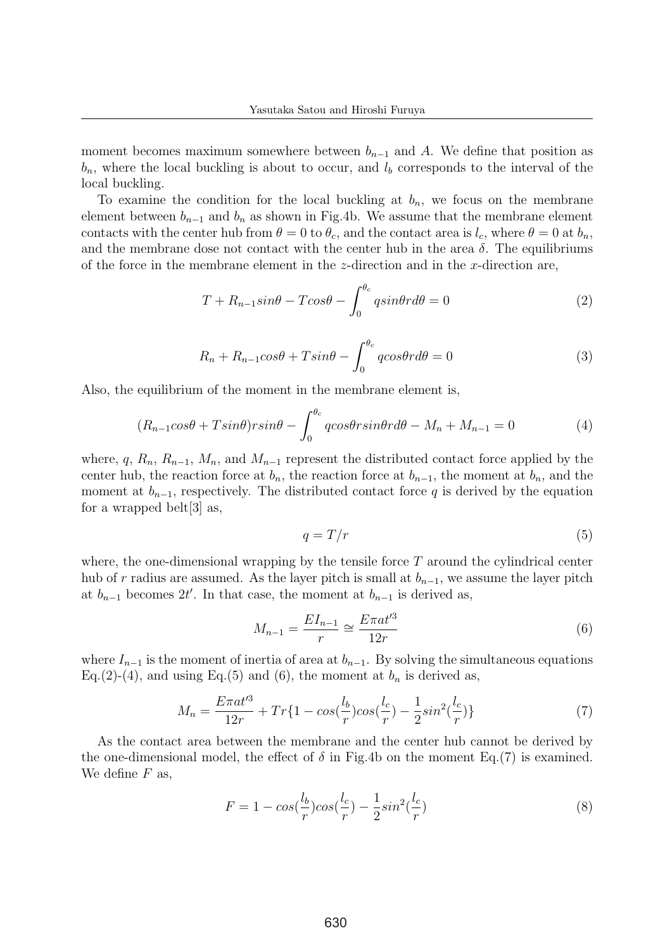moment becomes maximum somewhere between  $b_{n-1}$  and A. We define that position as  $b_n$ , where the local buckling is about to occur, and  $l_b$  corresponds to the interval of the local buckling.

To examine the condition for the local buckling at  $b_n$ , we focus on the membrane element between  $b_{n-1}$  and  $b_n$  as shown in Fig.4b. We assume that the membrane element contacts with the center hub from  $\theta = 0$  to  $\theta_c$ , and the contact area is  $l_c$ , where  $\theta = 0$  at  $b_n$ , and the membrane dose not contact with the center hub in the area  $\delta$ . The equilibriums of the force in the membrane element in the  $z$ -direction and in the  $x$ -direction are,

$$
T + R_{n-1} \sin \theta - T \cos \theta - \int_0^{\theta_c} q \sin \theta r d\theta = 0 \tag{2}
$$

$$
R_n + R_{n-1} \cos \theta + T \sin \theta - \int_0^{\theta_c} q \cos \theta r d\theta = 0 \tag{3}
$$

Also, the equilibrium of the moment in the membrane element is,

$$
(R_{n-1}cos\theta + Tsin\theta)rsin\theta - \int_0^{\theta_c} qcos\theta rsin\theta r d\theta - M_n + M_{n-1} = 0
$$
\n(4)

where, q,  $R_n$ ,  $R_{n-1}$ ,  $M_n$ , and  $M_{n-1}$  represent the distributed contact force applied by the center hub, the reaction force at  $b_n$ , the reaction force at  $b_{n-1}$ , the moment at  $b_n$ , and the moment at  $b_{n-1}$ , respectively. The distributed contact force q is derived by the equation for a wrapped belt[3] as,

$$
q = T/r \tag{5}
$$

where, the one-dimensional wrapping by the tensile force  $T$  around the cylindrical center hub of r radius are assumed. As the layer pitch is small at  $b_{n-1}$ , we assume the layer pitch at  $b_{n-1}$  becomes  $2t'$ . In that case, the moment at  $b_{n-1}$  is derived as,

$$
M_{n-1} = \frac{EI_{n-1}}{r} \cong \frac{E\pi a t'^3}{12r}
$$
 (6)

where  $I_{n-1}$  is the moment of inertia of area at  $b_{n-1}$ . By solving the simultaneous equations Eq.(2)-(4), and using Eq.(5) and (6), the moment at  $b_n$  is derived as,

$$
M_n = \frac{E\pi a t'^3}{12r} + Tr\{1 - \cos(\frac{l_b}{r})\cos(\frac{l_c}{r}) - \frac{1}{2}\sin^2(\frac{l_c}{r})\}
$$
(7)

As the contact area between the membrane and the center hub cannot be derived by the one-dimensional model, the effect of  $\delta$  in Fig.4b on the moment Eq.(7) is examined. We define  $F$  as,

$$
F = 1 - \cos(\frac{l_b}{r})\cos(\frac{l_c}{r}) - \frac{1}{2}\sin^2(\frac{l_c}{r})\tag{8}
$$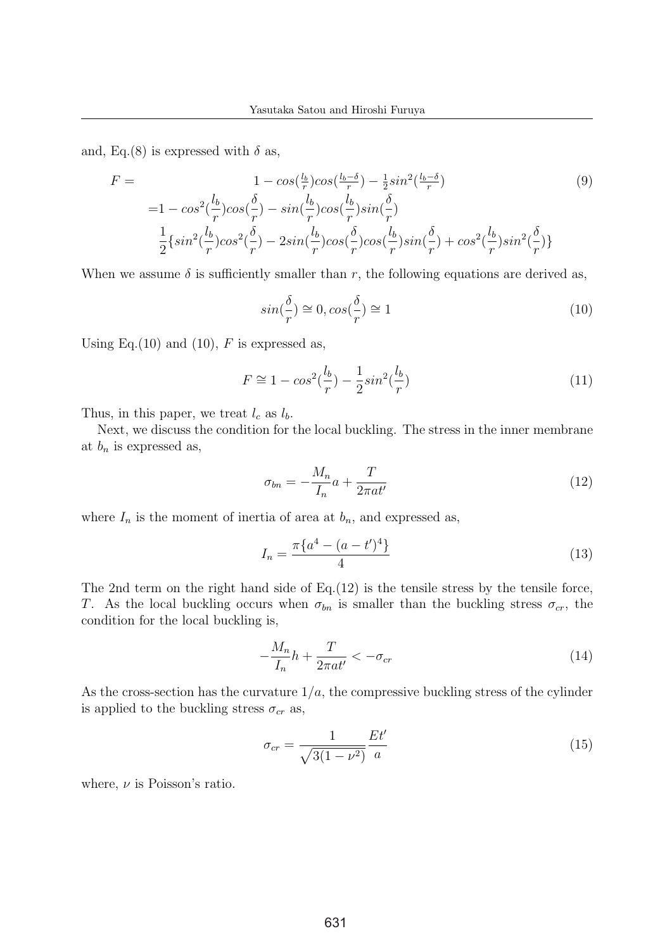and, Eq.(8) is expressed with  $\delta$  as,

$$
F = \t1 - \cos\left(\frac{l_b}{r}\right)\cos\left(\frac{l_b-\delta}{r}\right) - \frac{1}{2}\sin^2\left(\frac{l_b-\delta}{r}\right)
$$
(9)  
=  $1 - \cos^2\left(\frac{l_b}{r}\right)\cos\left(\frac{\delta}{r}\right) - \sin\left(\frac{l_b}{r}\right)\cos\left(\frac{l_b}{r}\right)\sin\left(\frac{\delta}{r}\right)$   

$$
\frac{1}{2}\left\{\sin^2\left(\frac{l_b}{r}\right)\cos^2\left(\frac{\delta}{r}\right) - 2\sin\left(\frac{l_b}{r}\right)\cos\left(\frac{\delta}{r}\right)\cos\left(\frac{l_b}{r}\right)\sin\left(\frac{\delta}{r}\right) + \cos^2\left(\frac{l_b}{r}\right)\sin^2\left(\frac{\delta}{r}\right)\right\}
$$

When we assume  $\delta$  is sufficiently smaller than r, the following equations are derived as,

$$
\sin(\frac{\delta}{r}) \cong 0, \cos(\frac{\delta}{r}) \cong 1 \tag{10}
$$

Using Eq.(10) and (10),  $F$  is expressed as,

$$
F \cong 1 - \cos^2(\frac{l_b}{r}) - \frac{1}{2}\sin^2(\frac{l_b}{r})
$$
\n(11)

Thus, in this paper, we treat  $l_c$  as  $l_b$ .

Next, we discuss the condition for the local buckling. The stress in the inner membrane at  $b_n$  is expressed as,

$$
\sigma_{bn} = -\frac{M_n}{I_n}a + \frac{T}{2\pi a t'}\tag{12}
$$

where  $I_n$  is the moment of inertia of area at  $b_n$ , and expressed as,

$$
I_n = \frac{\pi \{a^4 - (a - t')^4\}}{4} \tag{13}
$$

The 2nd term on the right hand side of  $Eq.(12)$  is the tensile stress by the tensile force, T. As the local buckling occurs when  $\sigma_{bn}$  is smaller than the buckling stress  $\sigma_{cr}$ , the condition for the local buckling is,

$$
-\frac{M_n}{I_n}h + \frac{T}{2\pi a t'} < -\sigma_{cr} \tag{14}
$$

As the cross-section has the curvature  $1/a$ , the compressive buckling stress of the cylinder is applied to the buckling stress  $\sigma_{cr}$  as,

$$
\sigma_{cr} = \frac{1}{\sqrt{3(1-\nu^2)}} \frac{Et'}{a} \tag{15}
$$

where,  $\nu$  is Poisson's ratio.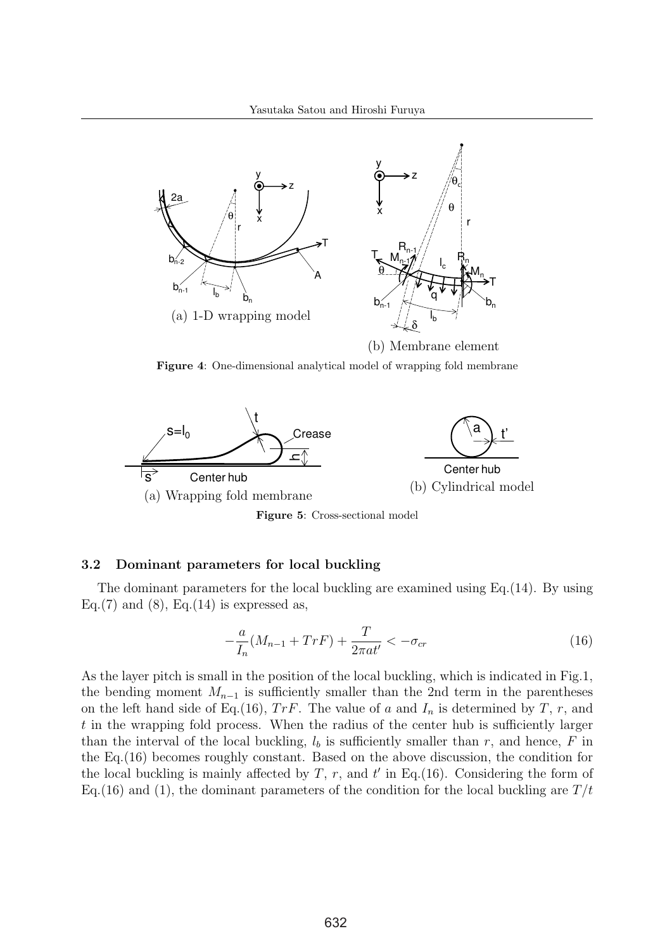

Figure 4: One-dimensional analytical model of wrapping fold membrane



Figure 5: Cross-sectional model

#### 3.2 Dominant parameters for local buckling

The dominant parameters for the local buckling are examined using Eq.(14). By using Eq.(7) and (8), Eq.(14) is expressed as,

$$
-\frac{a}{I_n}(M_{n-1} + TrF) + \frac{T}{2\pi a t'} < -\sigma_{cr}
$$
\n(16)

As the layer pitch is small in the position of the local buckling, which is indicated in Fig.1, the bending moment  $M_{n-1}$  is sufficiently smaller than the 2nd term in the parentheses on the left hand side of Eq.(16),  $TrF$ . The value of a and  $I_n$  is determined by T, r, and t in the wrapping fold process. When the radius of the center hub is sufficiently larger than the interval of the local buckling,  $l<sub>b</sub>$  is sufficiently smaller than r, and hence, F in the Eq.(16) becomes roughly constant. Based on the above discussion, the condition for the local buckling is mainly affected by  $T$ ,  $r$ , and  $t'$  in Eq.(16). Considering the form of Eq.(16) and (1), the dominant parameters of the condition for the local buckling are  $T/t$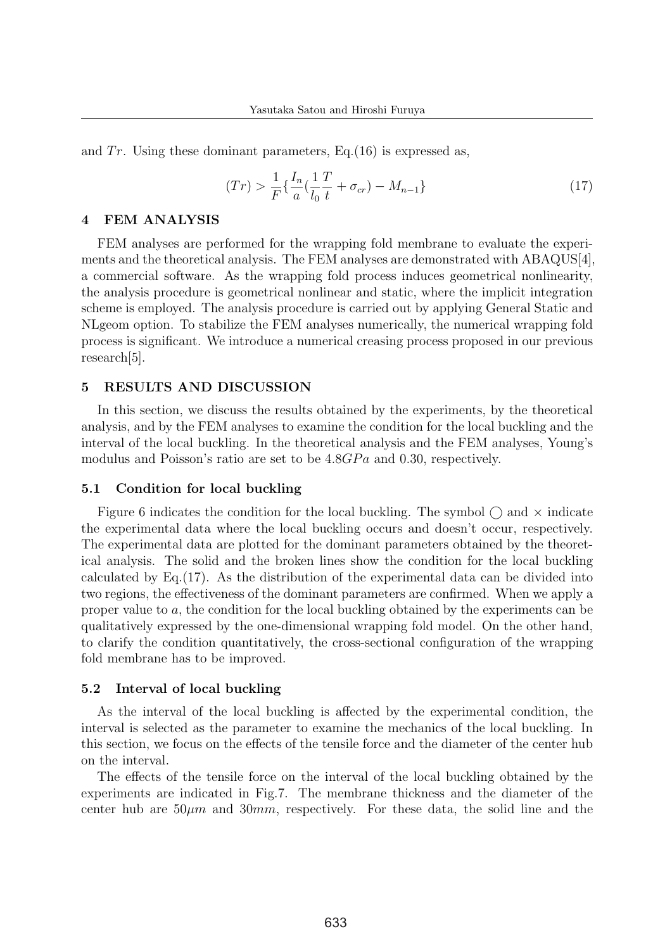and  $Tr$ . Using these dominant parameters, Eq.(16) is expressed as,

$$
(Tr) > \frac{1}{F} \{ \frac{I_n}{a} (\frac{1}{l_0} \frac{T}{t} + \sigma_{cr}) - M_{n-1} \}
$$
\n(17)

## 4 FEM ANALYSIS

FEM analyses are performed for the wrapping fold membrane to evaluate the experiments and the theoretical analysis. The FEM analyses are demonstrated with ABAQUS[4], a commercial software. As the wrapping fold process induces geometrical nonlinearity, the analysis procedure is geometrical nonlinear and static, where the implicit integration scheme is employed. The analysis procedure is carried out by applying General Static and NLgeom option. To stabilize the FEM analyses numerically, the numerical wrapping fold process is significant. We introduce a numerical creasing process proposed in our previous research[5].

## 5 RESULTS AND DISCUSSION

In this section, we discuss the results obtained by the experiments, by the theoretical analysis, and by the FEM analyses to examine the condition for the local buckling and the interval of the local buckling. In the theoretical analysis and the FEM analyses, Young's modulus and Poisson's ratio are set to be  $4.8GPa$  and 0.30, respectively.

#### 5.1 Condition for local buckling

Figure 6 indicates the condition for the local buckling. The symbol  $\bigcap$  and  $\times$  indicate the experimental data where the local buckling occurs and doesn't occur, respectively. The experimental data are plotted for the dominant parameters obtained by the theoretical analysis. The solid and the broken lines show the condition for the local buckling calculated by Eq.(17). As the distribution of the experimental data can be divided into two regions, the effectiveness of the dominant parameters are confirmed. When we apply a proper value to a, the condition for the local buckling obtained by the experiments can be qualitatively expressed by the one-dimensional wrapping fold model. On the other hand, to clarify the condition quantitatively, the cross-sectional configuration of the wrapping fold membrane has to be improved.

#### 5.2 Interval of local buckling

As the interval of the local buckling is affected by the experimental condition, the interval is selected as the parameter to examine the mechanics of the local buckling. In this section, we focus on the effects of the tensile force and the diameter of the center hub on the interval.

The effects of the tensile force on the interval of the local buckling obtained by the experiments are indicated in Fig.7. The membrane thickness and the diameter of the center hub are  $50\mu m$  and  $30mm$ , respectively. For these data, the solid line and the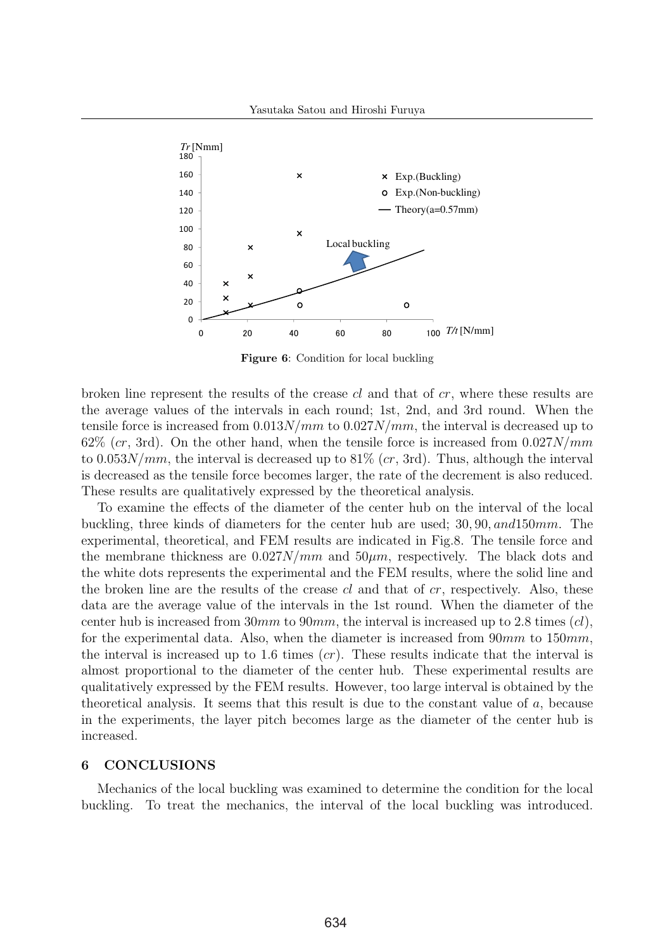

Figure 6: Condition for local buckling

broken line represent the results of the crease  $cl$  and that of  $cr$ , where these results are the average values of the intervals in each round; 1st, 2nd, and 3rd round. When the tensile force is increased from  $0.013N/mm$  to  $0.027N/mm$ , the interval is decreased up to  $62\%$  (cr, 3rd). On the other hand, when the tensile force is increased from  $0.027N/mm$ to  $0.053N/mm$ , the interval is decreased up to 81% (cr, 3rd). Thus, although the interval is decreased as the tensile force becomes larger, the rate of the decrement is also reduced. These results are qualitatively expressed by the theoretical analysis.

To examine the effects of the diameter of the center hub on the interval of the local buckling, three kinds of diameters for the center hub are used; 30, 90, and150mm. The experimental, theoretical, and FEM results are indicated in Fig.8. The tensile force and the membrane thickness are  $0.027N/mm$  and  $50 \mu m$ , respectively. The black dots and the white dots represents the experimental and the FEM results, where the solid line and the broken line are the results of the crease  $cl$  and that of  $cr$ , respectively. Also, these data are the average value of the intervals in the 1st round. When the diameter of the center hub is increased from 30mm to 90mm, the interval is increased up to 2.8 times  $(cl)$ , for the experimental data. Also, when the diameter is increased from  $90mm$  to  $150mm$ , the interval is increased up to 1.6 times  $(cr)$ . These results indicate that the interval is almost proportional to the diameter of the center hub. These experimental results are qualitatively expressed by the FEM results. However, too large interval is obtained by the theoretical analysis. It seems that this result is due to the constant value of a, because in the experiments, the layer pitch becomes large as the diameter of the center hub is increased.

## 6 CONCLUSIONS

Mechanics of the local buckling was examined to determine the condition for the local buckling. To treat the mechanics, the interval of the local buckling was introduced.